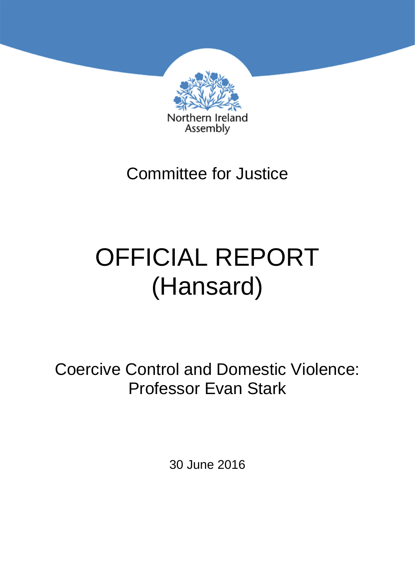

## Committee for Justice

# OFFICIAL REPORT (Hansard)

Coercive Control and Domestic Violence: Professor Evan Stark

30 June 2016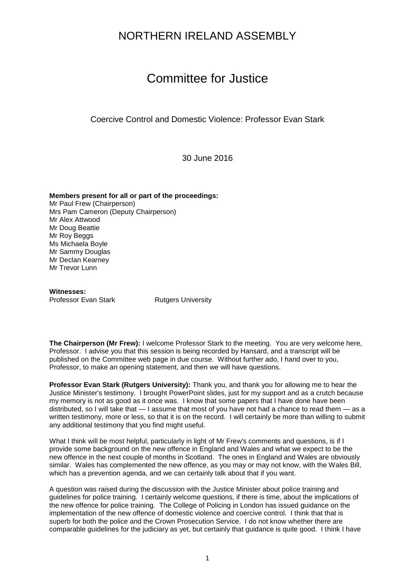### NORTHERN IRELAND ASSEMBLY

## Committee for Justice

Coercive Control and Domestic Violence: Professor Evan Stark

30 June 2016

**Members present for all or part of the proceedings:** Mr Paul Frew (Chairperson) Mrs Pam Cameron (Deputy Chairperson) Mr Alex Attwood Mr Doug Beattie Mr Roy Beggs Ms Michaela Boyle Mr Sammy Douglas Mr Declan Kearney Mr Trevor Lunn

**Witnesses:** Professor Evan Stark Rutgers University

**The Chairperson (Mr Frew):** I welcome Professor Stark to the meeting. You are very welcome here, Professor. I advise you that this session is being recorded by Hansard, and a transcript will be published on the Committee web page in due course. Without further ado, I hand over to you, Professor, to make an opening statement, and then we will have questions.

**Professor Evan Stark (Rutgers University):** Thank you, and thank you for allowing me to hear the Justice Minister's testimony. I brought PowerPoint slides, just for my support and as a crutch because my memory is not as good as it once was. I know that some papers that I have done have been distributed, so I will take that — I assume that most of you have not had a chance to read them — as a written testimony, more or less, so that it is on the record. I will certainly be more than willing to submit any additional testimony that you find might useful.

What I think will be most helpful, particularly in light of Mr Frew's comments and questions, is if I provide some background on the new offence in England and Wales and what we expect to be the new offence in the next couple of months in Scotland. The ones in England and Wales are obviously similar. Wales has complemented the new offence, as you may or may not know, with the Wales Bill, which has a prevention agenda, and we can certainly talk about that if you want.

A question was raised during the discussion with the Justice Minister about police training and guidelines for police training. I certainly welcome questions, if there is time, about the implications of the new offence for police training. The College of Policing in London has issued guidance on the implementation of the new offence of domestic violence and coercive control. I think that that is superb for both the police and the Crown Prosecution Service. I do not know whether there are comparable guidelines for the judiciary as yet, but certainly that guidance is quite good. I think I have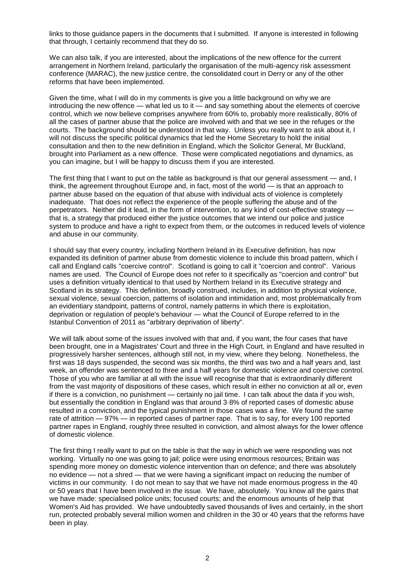links to those guidance papers in the documents that I submitted. If anyone is interested in following that through, I certainly recommend that they do so.

We can also talk, if you are interested, about the implications of the new offence for the current arrangement in Northern Ireland, particularly the organisation of the multi-agency risk assessment conference (MARAC), the new justice centre, the consolidated court in Derry or any of the other reforms that have been implemented.

Given the time, what I will do in my comments is give you a little background on why we are introducing the new offence — what led us to it — and say something about the elements of coercive control, which we now believe comprises anywhere from 60% to, probably more realistically, 80% of all the cases of partner abuse that the police are involved with and that we see in the refuges or the courts. The background should be understood in that way. Unless you really want to ask about it, I will not discuss the specific political dynamics that led the Home Secretary to hold the initial consultation and then to the new definition in England, which the Solicitor General, Mr Buckland, brought into Parliament as a new offence. Those were complicated negotiations and dynamics, as you can imagine, but I will be happy to discuss them if you are interested.

The first thing that I want to put on the table as background is that our general assessment — and, I think, the agreement throughout Europe and, in fact, most of the world — is that an approach to partner abuse based on the equation of that abuse with individual acts of violence is completely inadequate. That does not reflect the experience of the people suffering the abuse and of the perpetrators. Neither did it lead, in the form of intervention, to any kind of cost-effective strategy that is, a strategy that produced either the justice outcomes that we intend our police and justice system to produce and have a right to expect from them, or the outcomes in reduced levels of violence and abuse in our community.

I should say that every country, including Northern Ireland in its Executive definition, has now expanded its definition of partner abuse from domestic violence to include this broad pattern, which I call and England calls "coercive control". Scotland is going to call it "coercion and control". Various names are used. The Council of Europe does not refer to it specifically as "coercion and control" but uses a definition virtually identical to that used by Northern Ireland in its Executive strategy and Scotland in its strategy. This definition, broadly construed, includes, in addition to physical violence, sexual violence, sexual coercion, patterns of isolation and intimidation and, most problematically from an evidentiary standpoint, patterns of control, namely patterns in which there is exploitation, deprivation or regulation of people's behaviour — what the Council of Europe referred to in the Istanbul Convention of 2011 as "arbitrary deprivation of liberty".

We will talk about some of the issues involved with that and, if you want, the four cases that have been brought, one in a Magistrates' Court and three in the High Court, in England and have resulted in progressively harsher sentences, although still not, in my view, where they belong. Nonetheless, the first was 18 days suspended, the second was six months, the third was two and a half years and, last week, an offender was sentenced to three and a half years for domestic violence and coercive control. Those of you who are familiar at all with the issue will recognise that that is extraordinarily different from the vast majority of dispositions of these cases, which result in either no conviction at all or, even if there is a conviction, no punishment — certainly no jail time. I can talk about the data if you wish, but essentially the condition in England was that around 3·8% of reported cases of domestic abuse resulted in a conviction, and the typical punishment in those cases was a fine. We found the same rate of attrition — 97% — in reported cases of partner rape. That is to say, for every 100 reported partner rapes in England, roughly three resulted in conviction, and almost always for the lower offence of domestic violence.

The first thing I really want to put on the table is that the way in which we were responding was not working. Virtually no one was going to jail; police were using enormous resources; Britain was spending more money on domestic violence intervention than on defence; and there was absolutely no evidence — not a shred — that we were having a significant impact on reducing the number of victims in our community. I do not mean to say that we have not made enormous progress in the 40 or 50 years that I have been involved in the issue. We have, absolutely. You know all the gains that we have made: specialised police units; focused courts; and the enormous amounts of help that Women's Aid has provided. We have undoubtedly saved thousands of lives and certainly, in the short run, protected probably several million women and children in the 30 or 40 years that the reforms have been in play.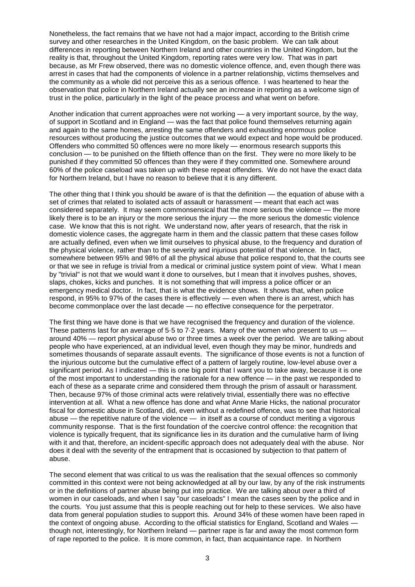Nonetheless, the fact remains that we have not had a major impact, according to the British crime survey and other researches in the United Kingdom, on the basic problem. We can talk about differences in reporting between Northern Ireland and other countries in the United Kingdom, but the reality is that, throughout the United Kingdom, reporting rates were very low. That was in part because, as Mr Frew observed, there was no domestic violence offence, and, even though there was arrest in cases that had the components of violence in a partner relationship, victims themselves and the community as a whole did not perceive this as a serious offence. I was heartened to hear the observation that police in Northern Ireland actually see an increase in reporting as a welcome sign of trust in the police, particularly in the light of the peace process and what went on before.

Another indication that current approaches were not working — a very important source, by the way, of support in Scotland and in England — was the fact that police found themselves returning again and again to the same homes, arresting the same offenders and exhausting enormous police resources without producing the justice outcomes that we would expect and hope would be produced. Offenders who committed 50 offences were no more likely — enormous research supports this conclusion — to be punished on the fiftieth offence than on the first. They were no more likely to be punished if they committed 50 offences than they were if they committed one. Somewhere around 60% of the police caseload was taken up with these repeat offenders. We do not have the exact data for Northern Ireland, but I have no reason to believe that it is any different.

The other thing that I think you should be aware of is that the definition — the equation of abuse with a set of crimes that related to isolated acts of assault or harassment — meant that each act was considered separately. It may seem commonsensical that the more serious the violence — the more likely there is to be an injury or the more serious the injury — the more serious the domestic violence case. We know that this is not right. We understand now, after years of research, that the risk in domestic violence cases, the aggregate harm in them and the classic pattern that these cases follow are actually defined, even when we limit ourselves to physical abuse, to the frequency and duration of the physical violence, rather than to the severity and injurious potential of that violence. In fact, somewhere between 95% and 98% of all the physical abuse that police respond to, that the courts see or that we see in refuge is trivial from a medical or criminal justice system point of view. What I mean by "trivial" is not that we would want it done to ourselves, but I mean that it involves pushes, shoves, slaps, chokes, kicks and punches. It is not something that will impress a police officer or an emergency medical doctor. In fact, that is what the evidence shows. It shows that, when police respond, in 95% to 97% of the cases there is effectively — even when there is an arrest, which has become commonplace over the last decade — no effective consequence for the perpetrator.

The first thing we have done is that we have recognised the frequency and duration of the violence. These patterns last for an average of 5.5 to 7.2 years. Many of the women who present to us  $$ around 40% — report physical abuse two or three times a week over the period. We are talking about people who have experienced, at an individual level, even though they may be minor, hundreds and sometimes thousands of separate assault events. The significance of those events is not a function of the injurious outcome but the cumulative effect of a pattern of largely routine, low-level abuse over a significant period. As I indicated — this is one big point that I want you to take away, because it is one of the most important to understanding the rationale for a new offence — in the past we responded to each of these as a separate crime and considered them through the prism of assault or harassment. Then, because 97% of those criminal acts were relatively trivial, essentially there was no effective intervention at all. What a new offence has done and what Anne Marie Hicks, the national procurator fiscal for domestic abuse in Scotland, did, even without a redefined offence, was to see that historical abuse — the repetitive nature of the violence — in itself as a course of conduct meriting a vigorous community response. That is the first foundation of the coercive control offence: the recognition that violence is typically frequent, that its significance lies in its duration and the cumulative harm of living with it and that, therefore, an incident-specific approach does not adequately deal with the abuse. Nor does it deal with the severity of the entrapment that is occasioned by subjection to that pattern of abuse.

The second element that was critical to us was the realisation that the sexual offences so commonly committed in this context were not being acknowledged at all by our law, by any of the risk instruments or in the definitions of partner abuse being put into practice. We are talking about over a third of women in our caseloads, and when I say "our caseloads" I mean the cases seen by the police and in the courts. You just assume that this is people reaching out for help to these services. We also have data from general population studies to support this. Around 34% of these women have been raped in the context of ongoing abuse. According to the official statistics for England, Scotland and Wales though not, interestingly, for Northern Ireland — partner rape is far and away the most common form of rape reported to the police. It is more common, in fact, than acquaintance rape. In Northern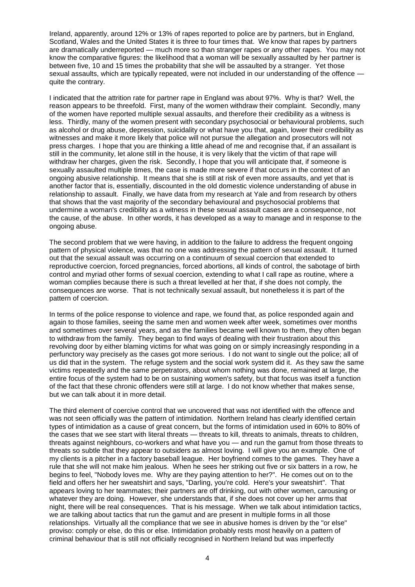Ireland, apparently, around 12% or 13% of rapes reported to police are by partners, but in England, Scotland, Wales and the United States it is three to four times that. We know that rapes by partners are dramatically underreported — much more so than stranger rapes or any other rapes. You may not know the comparative figures: the likelihood that a woman will be sexually assaulted by her partner is between five, 10 and 15 times the probability that she will be assaulted by a stranger. Yet those sexual assaults, which are typically repeated, were not included in our understanding of the offence quite the contrary.

I indicated that the attrition rate for partner rape in England was about 97%. Why is that? Well, the reason appears to be threefold. First, many of the women withdraw their complaint. Secondly, many of the women have reported multiple sexual assaults, and therefore their credibility as a witness is less. Thirdly, many of the women present with secondary psychosocial or behavioural problems, such as alcohol or drug abuse, depression, suicidality or what have you that, again, lower their credibility as witnesses and make it more likely that police will not pursue the allegation and prosecutors will not press charges. I hope that you are thinking a little ahead of me and recognise that, if an assailant is still in the community, let alone still in the house, it is very likely that the victim of that rape will withdraw her charges, given the risk. Secondly, I hope that you will anticipate that, if someone is sexually assaulted multiple times, the case is made more severe if that occurs in the context of an ongoing abusive relationship. It means that she is still at risk of even more assaults, and yet that is another factor that is, essentially, discounted in the old domestic violence understanding of abuse in relationship to assault. Finally, we have data from my research at Yale and from research by others that shows that the vast majority of the secondary behavioural and psychosocial problems that undermine a woman's credibility as a witness in these sexual assault cases are a consequence, not the cause, of the abuse. In other words, it has developed as a way to manage and in response to the ongoing abuse.

The second problem that we were having, in addition to the failure to address the frequent ongoing pattern of physical violence, was that no one was addressing the pattern of sexual assault. It turned out that the sexual assault was occurring on a continuum of sexual coercion that extended to reproductive coercion, forced pregnancies, forced abortions, all kinds of control, the sabotage of birth control and myriad other forms of sexual coercion, extending to what I call rape as routine, where a woman complies because there is such a threat levelled at her that, if she does not comply, the consequences are worse. That is not technically sexual assault, but nonetheless it is part of the pattern of coercion.

In terms of the police response to violence and rape, we found that, as police responded again and again to those families, seeing the same men and women week after week, sometimes over months and sometimes over several years, and as the families became well known to them, they often began to withdraw from the family. They began to find ways of dealing with their frustration about this revolving door by either blaming victims for what was going on or simply increasingly responding in a perfunctory way precisely as the cases got more serious. I do not want to single out the police; all of us did that in the system. The refuge system and the social work system did it. As they saw the same victims repeatedly and the same perpetrators, about whom nothing was done, remained at large, the entire focus of the system had to be on sustaining women's safety, but that focus was itself a function of the fact that these chronic offenders were still at large. I do not know whether that makes sense, but we can talk about it in more detail.

The third element of coercive control that we uncovered that was not identified with the offence and was not seen officially was the pattern of intimidation. Northern Ireland has clearly identified certain types of intimidation as a cause of great concern, but the forms of intimidation used in 60% to 80% of the cases that we see start with literal threats — threats to kill, threats to animals, threats to children, threats against neighbours, co-workers and what have you — and run the gamut from those threats to threats so subtle that they appear to outsiders as almost loving. I will give you an example. One of my clients is a pitcher in a factory baseball league. Her boyfriend comes to the games. They have a rule that she will not make him jealous. When he sees her striking out five or six batters in a row, he begins to feel, "Nobody loves me. Why are they paying attention to her?". He comes out on to the field and offers her her sweatshirt and says, "Darling, you're cold. Here's your sweatshirt". That appears loving to her teammates; their partners are off drinking, out with other women, carousing or whatever they are doing. However, she understands that, if she does not cover up her arms that night, there will be real consequences. That is his message. When we talk about intimidation tactics, we are talking about tactics that run the gamut and are present in multiple forms in all those relationships. Virtually all the compliance that we see in abusive homes is driven by the "or else" proviso: comply or else, do this or else. Intimidation probably rests most heavily on a pattern of criminal behaviour that is still not officially recognised in Northern Ireland but was imperfectly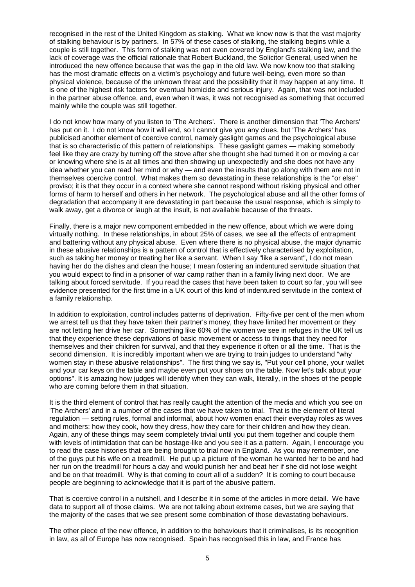recognised in the rest of the United Kingdom as stalking. What we know now is that the vast majority of stalking behaviour is by partners. In 57% of these cases of stalking, the stalking begins while a couple is still together. This form of stalking was not even covered by England's stalking law, and the lack of coverage was the official rationale that Robert Buckland, the Solicitor General, used when he introduced the new offence because that was the gap in the old law. We now know too that stalking has the most dramatic effects on a victim's psychology and future well-being, even more so than physical violence, because of the unknown threat and the possibility that it may happen at any time. It is one of the highest risk factors for eventual homicide and serious injury. Again, that was not included in the partner abuse offence, and, even when it was, it was not recognised as something that occurred mainly while the couple was still together.

I do not know how many of you listen to 'The Archers'. There is another dimension that 'The Archers' has put on it. I do not know how it will end, so I cannot give you any clues, but 'The Archers' has publicised another element of coercive control, namely gaslight games and the psychological abuse that is so characteristic of this pattern of relationships. These gaslight games — making somebody feel like they are crazy by turning off the stove after she thought she had turned it on or moving a car or knowing where she is at all times and then showing up unexpectedly and she does not have any idea whether you can read her mind or why — and even the insults that go along with them are not in themselves coercive control. What makes them so devastating in these relationships is the "or else" proviso; it is that they occur in a context where she cannot respond without risking physical and other forms of harm to herself and others in her network. The psychological abuse and all the other forms of degradation that accompany it are devastating in part because the usual response, which is simply to walk away, get a divorce or laugh at the insult, is not available because of the threats.

Finally, there is a major new component embedded in the new offence, about which we were doing virtually nothing. In these relationships, in about 25% of cases, we see all the effects of entrapment and battering without any physical abuse. Even where there is no physical abuse, the major dynamic in these abusive relationships is a pattern of control that is effectively characterised by exploitation, such as taking her money or treating her like a servant. When I say "like a servant", I do not mean having her do the dishes and clean the house; I mean fostering an indentured servitude situation that you would expect to find in a prisoner of war camp rather than in a family living next door. We are talking about forced servitude. If you read the cases that have been taken to court so far, you will see evidence presented for the first time in a UK court of this kind of indentured servitude in the context of a family relationship.

In addition to exploitation, control includes patterns of deprivation. Fifty-five per cent of the men whom we arrest tell us that they have taken their partner's money, they have limited her movement or they are not letting her drive her car. Something like 60% of the women we see in refuges in the UK tell us that they experience these deprivations of basic movement or access to things that they need for themselves and their children for survival, and that they experience it often or all the time. That is the second dimension. It is incredibly important when we are trying to train judges to understand "why women stay in these abusive relationships". The first thing we say is, "Put your cell phone, your wallet and your car keys on the table and maybe even put your shoes on the table. Now let's talk about your options". It is amazing how judges will identify when they can walk, literally, in the shoes of the people who are coming before them in that situation.

It is the third element of control that has really caught the attention of the media and which you see on 'The Archers' and in a number of the cases that we have taken to trial. That is the element of literal regulation — setting rules, formal and informal, about how women enact their everyday roles as wives and mothers: how they cook, how they dress, how they care for their children and how they clean. Again, any of these things may seem completely trivial until you put them together and couple them with levels of intimidation that can be hostage-like and you see it as a pattern. Again, I encourage you to read the case histories that are being brought to trial now in England. As you may remember, one of the guys put his wife on a treadmill. He put up a picture of the woman he wanted her to be and had her run on the treadmill for hours a day and would punish her and beat her if she did not lose weight and be on that treadmill. Why is that coming to court all of a sudden? It is coming to court because people are beginning to acknowledge that it is part of the abusive pattern.

That is coercive control in a nutshell, and I describe it in some of the articles in more detail. We have data to support all of those claims. We are not talking about extreme cases, but we are saying that the majority of the cases that we see present some combination of those devastating behaviours.

The other piece of the new offence, in addition to the behaviours that it criminalises, is its recognition in law, as all of Europe has now recognised. Spain has recognised this in law, and France has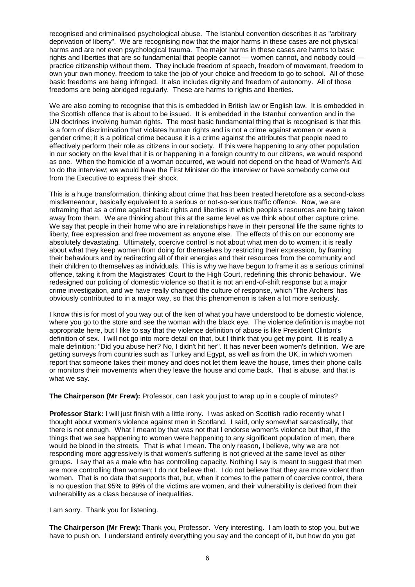recognised and criminalised psychological abuse. The Istanbul convention describes it as "arbitrary deprivation of liberty". We are recognising now that the major harms in these cases are not physical harms and are not even psychological trauma. The major harms in these cases are harms to basic rights and liberties that are so fundamental that people cannot — women cannot, and nobody could practice citizenship without them. They include freedom of speech, freedom of movement, freedom to own your own money, freedom to take the job of your choice and freedom to go to school. All of those basic freedoms are being infringed. It also includes dignity and freedom of autonomy. All of those freedoms are being abridged regularly. These are harms to rights and liberties.

We are also coming to recognise that this is embedded in British law or English law. It is embedded in the Scottish offence that is about to be issued. It is embedded in the Istanbul convention and in the UN doctrines involving human rights. The most basic fundamental thing that is recognised is that this is a form of discrimination that violates human rights and is not a crime against women or even a gender crime; it is a political crime because it is a crime against the attributes that people need to effectively perform their role as citizens in our society. If this were happening to any other population in our society on the level that it is or happening in a foreign country to our citizens, we would respond as one. When the homicide of a woman occurred, we would not depend on the head of Women's Aid to do the interview; we would have the First Minister do the interview or have somebody come out from the Executive to express their shock.

This is a huge transformation, thinking about crime that has been treated heretofore as a second-class misdemeanour, basically equivalent to a serious or not-so-serious traffic offence. Now, we are reframing that as a crime against basic rights and liberties in which people's resources are being taken away from them. We are thinking about this at the same level as we think about other capture crime. We say that people in their home who are in relationships have in their personal life the same rights to liberty, free expression and free movement as anyone else. The effects of this on our economy are absolutely devastating. Ultimately, coercive control is not about what men do to women; it is really about what they keep women from doing for themselves by restricting their expression, by framing their behaviours and by redirecting all of their energies and their resources from the community and their children to themselves as individuals. This is why we have begun to frame it as a serious criminal offence, taking it from the Magistrates' Court to the High Court, redefining this chronic behaviour. We redesigned our policing of domestic violence so that it is not an end-of-shift response but a major crime investigation, and we have really changed the culture of response, which 'The Archers' has obviously contributed to in a major way, so that this phenomenon is taken a lot more seriously.

I know this is for most of you way out of the ken of what you have understood to be domestic violence, where you go to the store and see the woman with the black eye. The violence definition is maybe not appropriate here, but I like to say that the violence definition of abuse is like President Clinton's definition of sex. I will not go into more detail on that, but I think that you get my point. It is really a male definition: "Did you abuse her? No, I didn't hit her". It has never been women's definition. We are getting surveys from countries such as Turkey and Egypt, as well as from the UK, in which women report that someone takes their money and does not let them leave the house, times their phone calls or monitors their movements when they leave the house and come back. That is abuse, and that is what we say.

**The Chairperson (Mr Frew):** Professor, can I ask you just to wrap up in a couple of minutes?

**Professor Stark:** I will just finish with a little irony. I was asked on Scottish radio recently what I thought about women's violence against men in Scotland. I said, only somewhat sarcastically, that there is not enough. What I meant by that was not that I endorse women's violence but that, if the things that we see happening to women were happening to any significant population of men, there would be blood in the streets. That is what I mean. The only reason, I believe, why we are not responding more aggressively is that women's suffering is not grieved at the same level as other groups. I say that as a male who has controlling capacity. Nothing I say is meant to suggest that men are more controlling than women; I do not believe that. I do not believe that they are more violent than women. That is no data that supports that, but, when it comes to the pattern of coercive control, there is no question that 95% to 99% of the victims are women, and their vulnerability is derived from their vulnerability as a class because of inequalities.

I am sorry. Thank you for listening.

**The Chairperson (Mr Frew):** Thank you, Professor. Very interesting. I am loath to stop you, but we have to push on. I understand entirely everything you say and the concept of it, but how do you get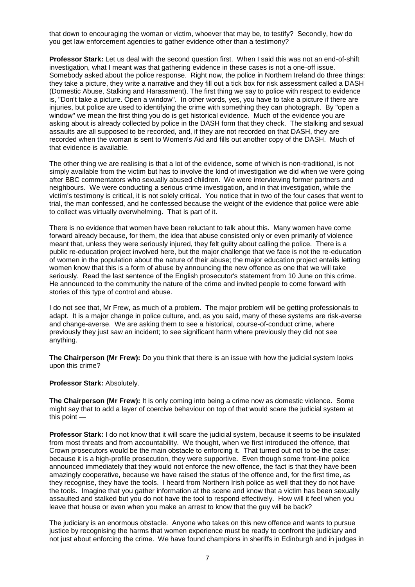that down to encouraging the woman or victim, whoever that may be, to testify? Secondly, how do you get law enforcement agencies to gather evidence other than a testimony?

**Professor Stark:** Let us deal with the second question first. When I said this was not an end-of-shift investigation, what I meant was that gathering evidence in these cases is not a one-off issue. Somebody asked about the police response. Right now, the police in Northern Ireland do three things: they take a picture, they write a narrative and they fill out a tick box for risk assessment called a DASH (Domestic Abuse, Stalking and Harassment). The first thing we say to police with respect to evidence is, "Don't take a picture. Open a window". In other words, yes, you have to take a picture if there are injuries, but police are used to identifying the crime with something they can photograph. By "open a window" we mean the first thing you do is get historical evidence. Much of the evidence you are asking about is already collected by police in the DASH form that they check. The stalking and sexual assaults are all supposed to be recorded, and, if they are not recorded on that DASH, they are recorded when the woman is sent to Women's Aid and fills out another copy of the DASH. Much of that evidence is available.

The other thing we are realising is that a lot of the evidence, some of which is non-traditional, is not simply available from the victim but has to involve the kind of investigation we did when we were going after BBC commentators who sexually abused children. We were interviewing former partners and neighbours. We were conducting a serious crime investigation, and in that investigation, while the victim's testimony is critical, it is not solely critical. You notice that in two of the four cases that went to trial, the man confessed, and he confessed because the weight of the evidence that police were able to collect was virtually overwhelming. That is part of it.

There is no evidence that women have been reluctant to talk about this. Many women have come forward already because, for them, the idea that abuse consisted only or even primarily of violence meant that, unless they were seriously injured, they felt guilty about calling the police. There is a public re-education project involved here, but the major challenge that we face is not the re-education of women in the population about the nature of their abuse; the major education project entails letting women know that this is a form of abuse by announcing the new offence as one that we will take seriously. Read the last sentence of the English prosecutor's statement from 10 June on this crime. He announced to the community the nature of the crime and invited people to come forward with stories of this type of control and abuse.

I do not see that, Mr Frew, as much of a problem. The major problem will be getting professionals to adapt. It is a major change in police culture, and, as you said, many of these systems are risk-averse and change-averse. We are asking them to see a historical, course-of-conduct crime, where previously they just saw an incident; to see significant harm where previously they did not see anything.

**The Chairperson (Mr Frew):** Do you think that there is an issue with how the judicial system looks upon this crime?

#### **Professor Stark:** Absolutely.

**The Chairperson (Mr Frew):** It is only coming into being a crime now as domestic violence. Some might say that to add a layer of coercive behaviour on top of that would scare the judicial system at this point —

**Professor Stark:** I do not know that it will scare the judicial system, because it seems to be insulated from most threats and from accountability. We thought, when we first introduced the offence, that Crown prosecutors would be the main obstacle to enforcing it. That turned out not to be the case: because it is a high-profile prosecution, they were supportive. Even though some front-line police announced immediately that they would not enforce the new offence, the fact is that they have been amazingly cooperative, because we have raised the status of the offence and, for the first time, as they recognise, they have the tools. I heard from Northern Irish police as well that they do not have the tools. Imagine that you gather information at the scene and know that a victim has been sexually assaulted and stalked but you do not have the tool to respond effectively. How will it feel when you leave that house or even when you make an arrest to know that the guy will be back?

The judiciary is an enormous obstacle. Anyone who takes on this new offence and wants to pursue justice by recognising the harms that women experience must be ready to confront the judiciary and not just about enforcing the crime. We have found champions in sheriffs in Edinburgh and in judges in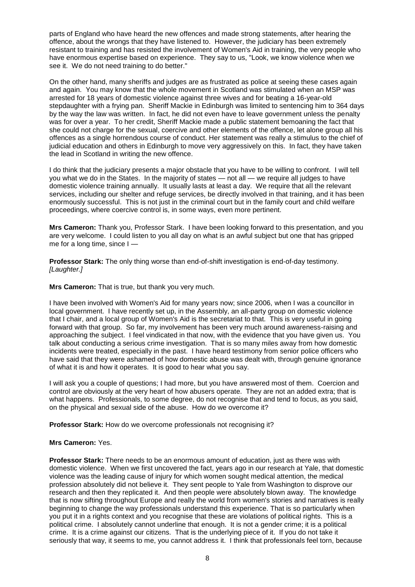parts of England who have heard the new offences and made strong statements, after hearing the offence, about the wrongs that they have listened to. However, the judiciary has been extremely resistant to training and has resisted the involvement of Women's Aid in training, the very people who have enormous expertise based on experience. They say to us, "Look, we know violence when we see it. We do not need training to do better."

On the other hand, many sheriffs and judges are as frustrated as police at seeing these cases again and again. You may know that the whole movement in Scotland was stimulated when an MSP was arrested for 18 years of domestic violence against three wives and for beating a 16-year-old stepdaughter with a frying pan. Sheriff Mackie in Edinburgh was limited to sentencing him to 364 days by the way the law was written. In fact, he did not even have to leave government unless the penalty was for over a year. To her credit, Sheriff Mackie made a public statement bemoaning the fact that she could not charge for the sexual, coercive and other elements of the offence, let alone group all his offences as a single horrendous course of conduct. Her statement was really a stimulus to the chief of judicial education and others in Edinburgh to move very aggressively on this. In fact, they have taken the lead in Scotland in writing the new offence.

I do think that the judiciary presents a major obstacle that you have to be willing to confront. I will tell you what we do in the States. In the majority of states — not all — we require all judges to have domestic violence training annually. It usually lasts at least a day. We require that all the relevant services, including our shelter and refuge services, be directly involved in that training, and it has been enormously successful. This is not just in the criminal court but in the family court and child welfare proceedings, where coercive control is, in some ways, even more pertinent.

**Mrs Cameron:** Thank you, Professor Stark. I have been looking forward to this presentation, and you are very welcome. I could listen to you all day on what is an awful subject but one that has gripped me for a long time, since I —

**Professor Stark:** The only thing worse than end-of-shift investigation is end-of-day testimony. *[Laughter.]* 

**Mrs Cameron:** That is true, but thank you very much.

I have been involved with Women's Aid for many years now; since 2006, when I was a councillor in local government. I have recently set up, in the Assembly, an all-party group on domestic violence that I chair, and a local group of Women's Aid is the secretariat to that. This is very useful in going forward with that group. So far, my involvement has been very much around awareness-raising and approaching the subject. I feel vindicated in that now, with the evidence that you have given us. You talk about conducting a serious crime investigation. That is so many miles away from how domestic incidents were treated, especially in the past. I have heard testimony from senior police officers who have said that they were ashamed of how domestic abuse was dealt with, through genuine ignorance of what it is and how it operates. It is good to hear what you say.

I will ask you a couple of questions; I had more, but you have answered most of them. Coercion and control are obviously at the very heart of how abusers operate. They are not an added extra; that is what happens. Professionals, to some degree, do not recognise that and tend to focus, as you said, on the physical and sexual side of the abuse. How do we overcome it?

**Professor Stark:** How do we overcome professionals not recognising it?

#### **Mrs Cameron:** Yes.

**Professor Stark:** There needs to be an enormous amount of education, just as there was with domestic violence. When we first uncovered the fact, years ago in our research at Yale, that domestic violence was the leading cause of injury for which women sought medical attention, the medical profession absolutely did not believe it. They sent people to Yale from Washington to disprove our research and then they replicated it. And then people were absolutely blown away. The knowledge that is now sifting throughout Europe and really the world from women's stories and narratives is really beginning to change the way professionals understand this experience. That is so particularly when you put it in a rights context and you recognise that these are violations of political rights. This is a political crime. I absolutely cannot underline that enough. It is not a gender crime; it is a political crime. It is a crime against our citizens. That is the underlying piece of it. If you do not take it seriously that way, it seems to me, you cannot address it. I think that professionals feel torn, because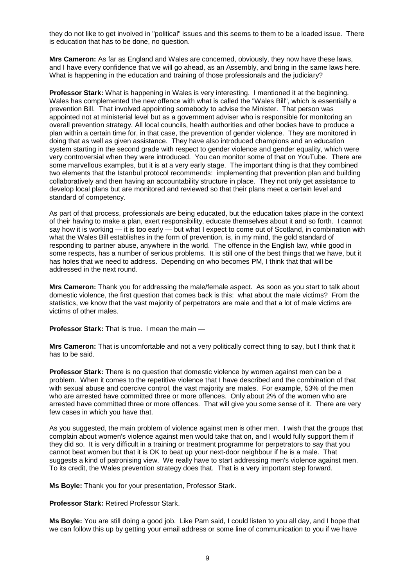they do not like to get involved in "political" issues and this seems to them to be a loaded issue. There is education that has to be done, no question.

**Mrs Cameron:** As far as England and Wales are concerned, obviously, they now have these laws, and I have every confidence that we will go ahead, as an Assembly, and bring in the same laws here. What is happening in the education and training of those professionals and the judiciary?

**Professor Stark:** What is happening in Wales is very interesting. I mentioned it at the beginning. Wales has complemented the new offence with what is called the "Wales Bill", which is essentially a prevention Bill. That involved appointing somebody to advise the Minister. That person was appointed not at ministerial level but as a government adviser who is responsible for monitoring an overall prevention strategy. All local councils, health authorities and other bodies have to produce a plan within a certain time for, in that case, the prevention of gender violence. They are monitored in doing that as well as given assistance. They have also introduced champions and an education system starting in the second grade with respect to gender violence and gender equality, which were very controversial when they were introduced. You can monitor some of that on YouTube. There are some marvellous examples, but it is at a very early stage. The important thing is that they combined two elements that the Istanbul protocol recommends: implementing that prevention plan and building collaboratively and then having an accountability structure in place. They not only get assistance to develop local plans but are monitored and reviewed so that their plans meet a certain level and standard of competency.

As part of that process, professionals are being educated, but the education takes place in the context of their having to make a plan, exert responsibility, educate themselves about it and so forth. I cannot say how it is working — it is too early — but what I expect to come out of Scotland, in combination with what the Wales Bill establishes in the form of prevention, is, in my mind, the gold standard of responding to partner abuse, anywhere in the world. The offence in the English law, while good in some respects, has a number of serious problems. It is still one of the best things that we have, but it has holes that we need to address. Depending on who becomes PM, I think that that will be addressed in the next round.

**Mrs Cameron:** Thank you for addressing the male/female aspect. As soon as you start to talk about domestic violence, the first question that comes back is this: what about the male victims? From the statistics, we know that the vast majority of perpetrators are male and that a lot of male victims are victims of other males.

**Professor Stark:** That is true. I mean the main —

**Mrs Cameron:** That is uncomfortable and not a very politically correct thing to say, but I think that it has to be said.

**Professor Stark:** There is no question that domestic violence by women against men can be a problem. When it comes to the repetitive violence that I have described and the combination of that with sexual abuse and coercive control, the vast majority are males. For example, 53% of the men who are arrested have committed three or more offences. Only about 2% of the women who are arrested have committed three or more offences. That will give you some sense of it. There are very few cases in which you have that.

As you suggested, the main problem of violence against men is other men. I wish that the groups that complain about women's violence against men would take that on, and I would fully support them if they did so. It is very difficult in a training or treatment programme for perpetrators to say that you cannot beat women but that it is OK to beat up your next-door neighbour if he is a male. That suggests a kind of patronising view. We really have to start addressing men's violence against men. To its credit, the Wales prevention strategy does that. That is a very important step forward.

**Ms Boyle:** Thank you for your presentation, Professor Stark.

**Professor Stark:** Retired Professor Stark.

**Ms Boyle:** You are still doing a good job. Like Pam said, I could listen to you all day, and I hope that we can follow this up by getting your email address or some line of communication to you if we have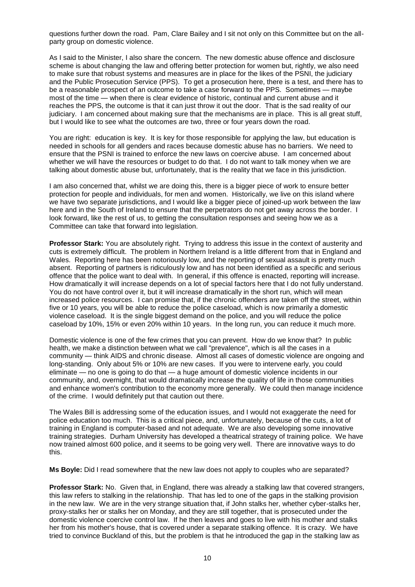questions further down the road. Pam, Clare Bailey and I sit not only on this Committee but on the allparty group on domestic violence.

As I said to the Minister, I also share the concern. The new domestic abuse offence and disclosure scheme is about changing the law and offering better protection for women but, rightly, we also need to make sure that robust systems and measures are in place for the likes of the PSNI, the judiciary and the Public Prosecution Service (PPS). To get a prosecution here, there is a test, and there has to be a reasonable prospect of an outcome to take a case forward to the PPS. Sometimes — maybe most of the time — when there is clear evidence of historic, continual and current abuse and it reaches the PPS, the outcome is that it can just throw it out the door. That is the sad reality of our judiciary. I am concerned about making sure that the mechanisms are in place. This is all great stuff, but I would like to see what the outcomes are two, three or four years down the road.

You are right: education is key. It is key for those responsible for applying the law, but education is needed in schools for all genders and races because domestic abuse has no barriers. We need to ensure that the PSNI is trained to enforce the new laws on coercive abuse. I am concerned about whether we will have the resources or budget to do that. I do not want to talk money when we are talking about domestic abuse but, unfortunately, that is the reality that we face in this jurisdiction.

I am also concerned that, whilst we are doing this, there is a bigger piece of work to ensure better protection for people and individuals, for men and women. Historically, we live on this island where we have two separate jurisdictions, and I would like a bigger piece of joined-up work between the law here and in the South of Ireland to ensure that the perpetrators do not get away across the border. I look forward, like the rest of us, to getting the consultation responses and seeing how we as a Committee can take that forward into legislation.

**Professor Stark:** You are absolutely right. Trying to address this issue in the context of austerity and cuts is extremely difficult. The problem in Northern Ireland is a little different from that in England and Wales. Reporting here has been notoriously low, and the reporting of sexual assault is pretty much absent. Reporting of partners is ridiculously low and has not been identified as a specific and serious offence that the police want to deal with. In general, if this offence is enacted, reporting will increase. How dramatically it will increase depends on a lot of special factors here that I do not fully understand. You do not have control over it, but it will increase dramatically in the short run, which will mean increased police resources. I can promise that, if the chronic offenders are taken off the street, within five or 10 years, you will be able to reduce the police caseload, which is now primarily a domestic violence caseload. It is the single biggest demand on the police, and you will reduce the police caseload by 10%, 15% or even 20% within 10 years. In the long run, you can reduce it much more.

Domestic violence is one of the few crimes that you can prevent. How do we know that? In public health, we make a distinction between what we call "prevalence", which is all the cases in a community — think AIDS and chronic disease. Almost all cases of domestic violence are ongoing and long-standing. Only about 5% or 10% are new cases. If you were to intervene early, you could eliminate — no one is going to do that — a huge amount of domestic violence incidents in our community, and, overnight, that would dramatically increase the quality of life in those communities and enhance women's contribution to the economy more generally. We could then manage incidence of the crime. I would definitely put that caution out there.

The Wales Bill is addressing some of the education issues, and I would not exaggerate the need for police education too much. This is a critical piece, and, unfortunately, because of the cuts, a lot of training in England is computer-based and not adequate. We are also developing some innovative training strategies. Durham University has developed a theatrical strategy of training police. We have now trained almost 600 police, and it seems to be going very well. There are innovative ways to do this.

**Ms Boyle:** Did I read somewhere that the new law does not apply to couples who are separated?

**Professor Stark:** No. Given that, in England, there was already a stalking law that covered strangers, this law refers to stalking in the relationship. That has led to one of the gaps in the stalking provision in the new law. We are in the very strange situation that, if John stalks her, whether cyber-stalks her, proxy-stalks her or stalks her on Monday, and they are still together, that is prosecuted under the domestic violence coercive control law. If he then leaves and goes to live with his mother and stalks her from his mother's house, that is covered under a separate stalking offence. It is crazy. We have tried to convince Buckland of this, but the problem is that he introduced the gap in the stalking law as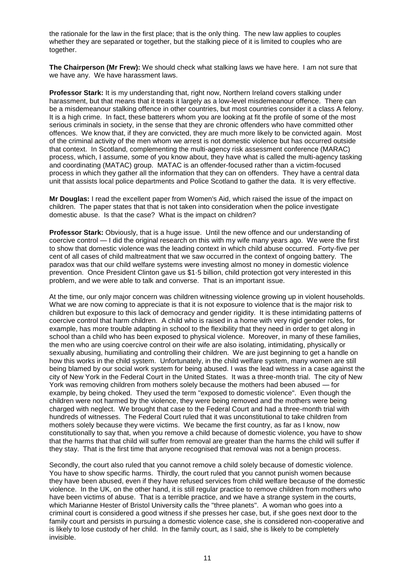the rationale for the law in the first place; that is the only thing. The new law applies to couples whether they are separated or together, but the stalking piece of it is limited to couples who are together.

**The Chairperson (Mr Frew):** We should check what stalking laws we have here. I am not sure that we have any. We have harassment laws.

**Professor Stark:** It is my understanding that, right now, Northern Ireland covers stalking under harassment, but that means that it treats it largely as a low-level misdemeanour offence. There can be a misdemeanour stalking offence in other countries, but most countries consider it a class A felony. It is a high crime. In fact, these batterers whom you are looking at fit the profile of some of the most serious criminals in society, in the sense that they are chronic offenders who have committed other offences. We know that, if they are convicted, they are much more likely to be convicted again. Most of the criminal activity of the men whom we arrest is not domestic violence but has occurred outside that context. In Scotland, complementing the multi-agency risk assessment conference (MARAC) process, which, I assume, some of you know about, they have what is called the multi-agency tasking and coordinating (MATAC) group. MATAC is an offender-focused rather than a victim-focused process in which they gather all the information that they can on offenders. They have a central data unit that assists local police departments and Police Scotland to gather the data. It is very effective.

**Mr Douglas:** I read the excellent paper from Women's Aid, which raised the issue of the impact on children. The paper states that that is not taken into consideration when the police investigate domestic abuse. Is that the case? What is the impact on children?

**Professor Stark:** Obviously, that is a huge issue. Until the new offence and our understanding of coercive control — I did the original research on this with my wife many years ago. We were the first to show that domestic violence was the leading context in which child abuse occurred. Forty-five per cent of all cases of child maltreatment that we saw occurred in the context of ongoing battery. The paradox was that our child welfare systems were investing almost no money in domestic violence prevention. Once President Clinton gave us \$1·5 billion, child protection got very interested in this problem, and we were able to talk and converse. That is an important issue.

At the time, our only major concern was children witnessing violence growing up in violent households. What we are now coming to appreciate is that it is not exposure to violence that is the major risk to children but exposure to this lack of democracy and gender rigidity. It is these intimidating patterns of coercive control that harm children. A child who is raised in a home with very rigid gender roles, for example, has more trouble adapting in school to the flexibility that they need in order to get along in school than a child who has been exposed to physical violence. Moreover, in many of these families, the men who are using coercive control on their wife are also isolating, intimidating, physically or sexually abusing, humiliating and controlling their children. We are just beginning to get a handle on how this works in the child system. Unfortunately, in the child welfare system, many women are still being blamed by our social work system for being abused. I was the lead witness in a case against the city of New York in the Federal Court in the United States. It was a three-month trial. The city of New York was removing children from mothers solely because the mothers had been abused — for example, by being choked. They used the term "exposed to domestic violence". Even though the children were not harmed by the violence, they were being removed and the mothers were being charged with neglect. We brought that case to the Federal Court and had a three-month trial with hundreds of witnesses. The Federal Court ruled that it was unconstitutional to take children from mothers solely because they were victims. We became the first country, as far as I know, now constitutionally to say that, when you remove a child because of domestic violence, you have to show that the harms that that child will suffer from removal are greater than the harms the child will suffer if they stay. That is the first time that anyone recognised that removal was not a benign process.

Secondly, the court also ruled that you cannot remove a child solely because of domestic violence. You have to show specific harms. Thirdly, the court ruled that you cannot punish women because they have been abused, even if they have refused services from child welfare because of the domestic violence. In the UK, on the other hand, it is still regular practice to remove children from mothers who have been victims of abuse. That is a terrible practice, and we have a strange system in the courts, which Marianne Hester of Bristol University calls the "three planets". A woman who goes into a criminal court is considered a good witness if she presses her case, but, if she goes next door to the family court and persists in pursuing a domestic violence case, she is considered non-cooperative and is likely to lose custody of her child. In the family court, as I said, she is likely to be completely invisible.